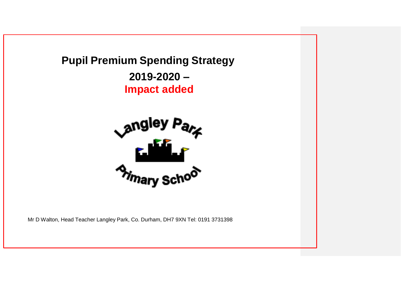



Mr D Walton, Head Teacher Langley Park, Co. Durham, DH7 9XN Tel: 0191 3731398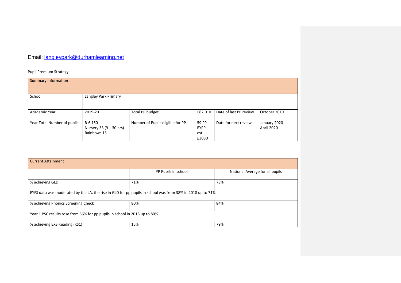## Email: [langleypark@durhamlearning.net](mailto:langleypark@durhamlearning.net)

Pupil Premium Strategy –

| <b>Summary Information</b>  |                                                   |                                  |                                      |                        |                            |
|-----------------------------|---------------------------------------------------|----------------------------------|--------------------------------------|------------------------|----------------------------|
| School                      | Langley Park Primary                              |                                  |                                      |                        |                            |
| Academic Year               | 2019-20                                           | Total PP budget                  | £82,010                              | Date of last PP review | October 2019               |
| Year Total Number of pupils | R-6 150<br>Nursery 33 (9 – 30 hrs)<br>Rainbows 15 | Number of Pupils eligible for PP | 59 PP<br><b>EYPP</b><br>est<br>£3030 | Date for next review   | January 2020<br>April 2020 |

| <b>Current Attainment</b>                                                                                 |                     |                                 |
|-----------------------------------------------------------------------------------------------------------|---------------------|---------------------------------|
|                                                                                                           | PP Pupils in school | National Average for all pupils |
| % achieving GLD                                                                                           | 71%                 | 73%                             |
| EYFS data was moderated by the LA, the rise in GLD for pp pupils in school was from 38% in 2018 up to 71% |                     |                                 |
| % achieving Phonics Screening Check                                                                       | 80%                 | 84%                             |
| Year 1 PSC results rose from 56% for pp pupils in school in 2018 up to 80%                                |                     |                                 |
| % achieving EXS Reading (KS1)                                                                             | 15%                 | 79%                             |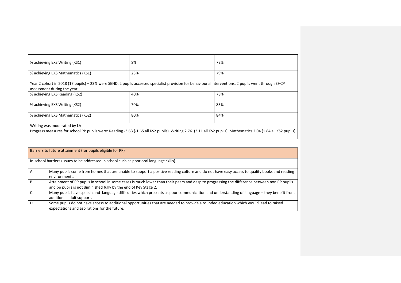| % achieving EXS Writing (KS1)     | 8%  | 72%                                                                                                                                                         |
|-----------------------------------|-----|-------------------------------------------------------------------------------------------------------------------------------------------------------------|
| % achieving EXS Mathematics (KS1) | 23% | 79%                                                                                                                                                         |
| assessment during the year.       |     | Year 2 cohort in 2018 (17 pupils) – 23% were SEND, 2 pupils accessed specialist provision for behavioural interventions, 2 pupils went through EHCP         |
| % achieving EXS Reading (KS2)     | 40% | 78%                                                                                                                                                         |
| % achieving EXS Writing (KS2)     | 70% | 83%                                                                                                                                                         |
| % achieving EXS Mathematics (KS2) | 80% | 84%                                                                                                                                                         |
| Writing was moderated by LA       |     | Progress measures for school PP pupils were: Reading -3.63 (-1.65 all KS2 pupils) Writing 2.76 (3.11 all KS2 pupils) Mathematics 2.04 (1.84 all KS2 pupils) |

|           | Barriers to future attainment (for pupils eligible for PP)                                                                                                                                                      |
|-----------|-----------------------------------------------------------------------------------------------------------------------------------------------------------------------------------------------------------------|
|           | In-school barriers (issues to be addressed in school such as poor oral language skills)                                                                                                                         |
| Α.        | Many pupils come from homes that are unable to support a positive reading culture and do not have easy access to quality books and reading<br>environments.                                                     |
| <b>B.</b> | Attainment of PP pupils in school in some cases is much lower than their peers and despite progressing the difference between non PP pupils<br>and pp pupils is not diminished fully by the end of Key Stage 2. |
| C.        | Many pupils have speech and language difficulties which presents as poor communication and understanding of language – they benefit from<br>additional adult support.                                           |
| D.        | Some pupils do not have access to additional opportunities that are needed to provide a rounded education which would lead to raised<br>expectations and aspirations for the future.                            |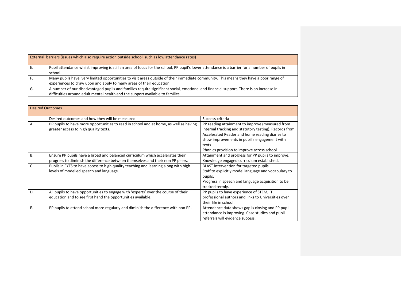|    | External barriers (issues which also require action outside school, such as low attendance rates)                                                                                                                        |
|----|--------------------------------------------------------------------------------------------------------------------------------------------------------------------------------------------------------------------------|
|    | Pupil attendance whilst improving is still an area of focus for the school, PP pupil's lower attendance is a barrier for a number of pupils in<br>school.                                                                |
|    | Many pupils have very limited opportunities to visit areas outside of their immediate community. This means they have a poor range of<br>experiences to draw upon and apply to many areas of their education.            |
| G. | A number of our disadvantaged pupils and families require significant social, emotional and financial support. There is an increase in<br>difficulties around adult mental health and the support available to families. |

| <b>Desired Outcomes</b> |                                                                                                                                                                 |                                                                                                                                                                                                                                                                      |
|-------------------------|-----------------------------------------------------------------------------------------------------------------------------------------------------------------|----------------------------------------------------------------------------------------------------------------------------------------------------------------------------------------------------------------------------------------------------------------------|
|                         | Desired outcomes and how they will be measured                                                                                                                  | Success criteria                                                                                                                                                                                                                                                     |
| Α.                      | PP pupils to have more opportunities to read in school and at home, as well as having<br>greater access to high quality texts.                                  | PP reading attainment to improve (measured from<br>internal tracking and statutory testing). Records from<br>Accelerated Reader and home reading diaries to<br>show improvements in pupil's engagement with<br>texts.<br>Phonics provision to improve across school. |
| <b>B.</b>               | Ensure PP pupils have a broad and balanced curriculum which accelerates their<br>progress to diminish the difference between themselves and their non PP peers. | Attainment and progress for PP pupils to improve.<br>Knowledge engaged curriculum established.                                                                                                                                                                       |
| C.                      | Pupils in EYFS to have access to high quality teaching and learning along with high<br>levels of modelled speech and language.                                  | BLAST intervention for targeted pupils.<br>Staff to explicitly model language and vocabulary to<br>pupils.<br>Progress in speech and language acquisition to be<br>tracked termly.                                                                                   |
| D.                      | All pupils to have opportunities to engage with 'experts' over the course of their<br>education and to see first hand the opportunities available.              | PP pupils to have experience of STEM, IT,<br>professional authors and links to Universities over<br>their life in school.                                                                                                                                            |
| Ε.                      | PP pupils to attend school more regularly and diminish the difference with non PP.                                                                              | Attendance data shows gap is closing and PP pupil<br>attendance is improving. Case studies and pupil<br>referrals will evidence success.                                                                                                                             |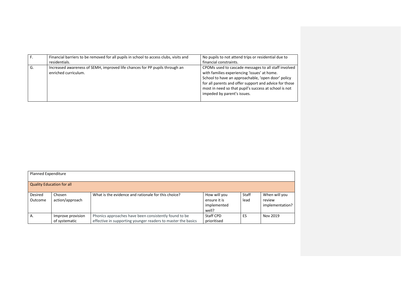| F. | Financial barriers to be removed for all pupils in school to access clubs, visits and<br>residentials. | No pupils to not attend trips or residential due to<br>financial constraints.                                                                                                                                                                                                                                |
|----|--------------------------------------------------------------------------------------------------------|--------------------------------------------------------------------------------------------------------------------------------------------------------------------------------------------------------------------------------------------------------------------------------------------------------------|
| G. | Increased awareness of SEMH, improved life chances for PP pupils through an<br>enriched curriculum.    | CPOMs used to cascade messages to all staff involved<br>with families experiencing 'issues' at home.<br>School to have an approachable, 'open door' policy<br>for all parents and offer support and advice for those<br>most in need so that pupil's success at school is not<br>impeded by parent's issues. |

| <b>Planned Expenditure</b>       |                                    |                                                                                                                        |                                                      |                      |                                            |
|----------------------------------|------------------------------------|------------------------------------------------------------------------------------------------------------------------|------------------------------------------------------|----------------------|--------------------------------------------|
| <b>Quality Education for all</b> |                                    |                                                                                                                        |                                                      |                      |                                            |
| Desired<br>Outcome               | Chosen<br>action/approach          | What is the evidence and rationale for this choice?                                                                    | How will you<br>ensure it is<br>implemented<br>well? | <b>Staff</b><br>lead | When will you<br>review<br>implementation? |
| Α.                               | Improve provision<br>of systematic | Phonics approaches have been consistently found to be.<br>effective in supporting younger readers to master the basics | Staff CPD<br>prioritised                             | ES                   | Nov 2019                                   |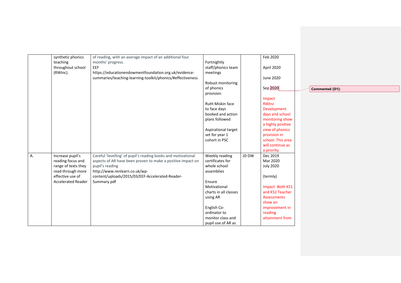|    | synthetic phonics         | of reading, with an average impact of an additional four      |                       |       | Feb 2020           |                 |
|----|---------------------------|---------------------------------------------------------------|-----------------------|-------|--------------------|-----------------|
|    | teaching                  | months' progress.                                             | Fortnightly           |       |                    |                 |
|    | throughout school         | EEF                                                           | staff/phonics team    |       | April 2020         |                 |
|    | (RWInc).                  | https://educationendowmentfoundation.org.uk/evidence-         | meetings              |       |                    |                 |
|    |                           | summaries/teaching-learning-toolkit/phonics/#effectiveness    |                       |       | June 2020          |                 |
|    |                           |                                                               | Robust monitoring     |       |                    |                 |
|    |                           |                                                               | of phonics            |       | Sep 2020           | Commented [D1]: |
|    |                           |                                                               | provision             |       |                    |                 |
|    |                           |                                                               |                       |       | Impact             |                 |
|    |                           |                                                               | Ruth Miskin face      |       | RWInc              |                 |
|    |                           |                                                               | to face days          |       | Development        |                 |
|    |                           |                                                               | booked and action     |       | days and school    |                 |
|    |                           |                                                               | plans followed        |       | monitoring show    |                 |
|    |                           |                                                               |                       |       | a highly positive  |                 |
|    |                           |                                                               | Aspirational target   |       | view of phonics    |                 |
|    |                           |                                                               | set for year 1        |       | provision in       |                 |
|    |                           |                                                               | cohort in PSC         |       | school. This area  |                 |
|    |                           |                                                               |                       |       | will continue as   |                 |
|    |                           |                                                               |                       |       | a priority.        |                 |
| A. | Increase pupil's          | Careful 'levelling' of pupil's reading books and motivational | Weekly reading        | JD DW | Dec 2019           |                 |
|    | reading focus and         | aspects of AR have been proven to make a positive impact on   | certificates for      |       | Mar 2020           |                 |
|    | range of texts they       | pupil's reading                                               | whole school          |       | <b>July 2020</b>   |                 |
|    | read through more         | http://www.renlearn.co.uk/wp-                                 | assemblies            |       |                    |                 |
|    | effective use of          | content/uploads/2015/03/EEF-Accelerated-Reader-               |                       |       | (termly)           |                 |
|    | <b>Accelerated Reader</b> | Summary.pdf                                                   | Ensure                |       |                    |                 |
|    |                           |                                                               | Motivational          |       | Impact -Both KS1   |                 |
|    |                           |                                                               | charts in all classes |       | and KS2 Teacher    |                 |
|    |                           |                                                               | using AR              |       | <b>Assessments</b> |                 |
|    |                           |                                                               |                       |       | show an            |                 |
|    |                           |                                                               | English Co-           |       | improvement in     |                 |
|    |                           |                                                               | ordinator to          |       | reading            |                 |
|    |                           |                                                               | monitor class and     |       | attainment from    |                 |
|    |                           |                                                               | pupil use of AR as    |       |                    |                 |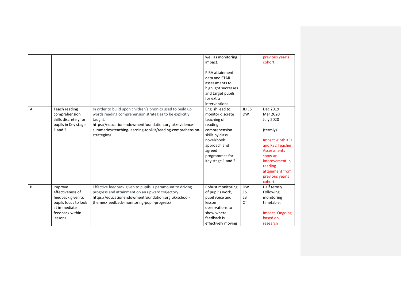| Α. | Teach reading<br>comprehension<br>skills discretely for<br>pupils in Key stage<br>$1$ and $2$                           | In order to build upon children's phonics used to build up<br>words reading comprehension strategies to be explicitly<br>taught.<br>https://educationendowmentfoundation.org.uk/evidence-<br>summaries/teaching-learning-toolkit/reading-comprehension-<br>strategies/ | well as monitoring<br>impact.<br>PiRA attainment<br>data and STAR<br>assessments to<br>highlight successes<br>and target pupils<br>for extra<br>interventions.<br>English lead to<br>monitor discrete<br>teaching of<br>reading<br>comprehension<br>skills by class<br>novel/book<br>approach and<br>agreed<br>programmes for<br>Key stage 1 and 2. | JD ES<br><b>DW</b>                 | previous year's<br>cohort.<br>Dec 2019<br>Mar 2020<br><b>July 2020</b><br>(termly)<br>Impact -Both KS1<br>and KS2 Teacher<br><b>Assessments</b><br>show an<br>improvement in<br>reading |
|----|-------------------------------------------------------------------------------------------------------------------------|------------------------------------------------------------------------------------------------------------------------------------------------------------------------------------------------------------------------------------------------------------------------|-----------------------------------------------------------------------------------------------------------------------------------------------------------------------------------------------------------------------------------------------------------------------------------------------------------------------------------------------------|------------------------------------|-----------------------------------------------------------------------------------------------------------------------------------------------------------------------------------------|
|    |                                                                                                                         |                                                                                                                                                                                                                                                                        |                                                                                                                                                                                                                                                                                                                                                     |                                    | attainment from<br>previous year's<br>cohort.                                                                                                                                           |
| B  | Improve<br>effectiveness of<br>feedback given to<br>pupils focus to look<br>at immediate<br>feedback within<br>lessons. | Effective feedback given to pupils is paramount to driving<br>progress and attainment on an upward trajectory.<br>https://educationendowmentfoundation.org.uk/school-<br>themes/feedback-monitoring-pupil-progress/                                                    | Robust monitoring<br>of pupil's work,<br>pupil voice and<br>lesson<br>observations to<br>show where<br>feedback is<br>effectively moving                                                                                                                                                                                                            | <b>DW</b><br>ES<br>LB<br><b>CT</b> | Half termly<br>Following<br>monitoring<br>timetable.<br><b>Impact-Ongoing</b><br>based on<br>research                                                                                   |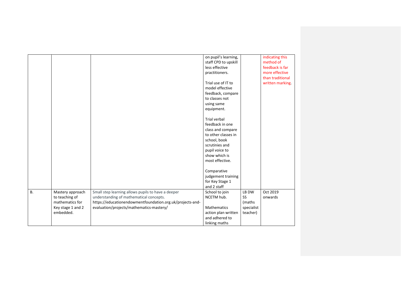| indicating this<br>on pupil's learning,<br>staff CPD to upskill<br>method of<br>less effective<br>feedback is far<br>more effective<br>practitioners.<br>than traditional<br>Trial use of IT to<br>written marking.<br>model effective<br>feedback, compare<br>to classes not<br>using same<br>equipment.<br>Trial verbal<br>feedback in one<br>class and compare<br>to other classes in<br>school, book<br>scrutinies and<br>pupil voice to<br>show which is<br>most effective.<br>Comparative<br>judgement training<br>for Key Stage 1<br>and 2 staff<br><b>B.</b><br>Oct 2019<br>Small step learning allows pupils to have a deeper<br>School to join<br>LB DW<br>Mastery approach<br>understanding of mathematical concepts.<br>NCETM hub.<br><b>SS</b><br>to teaching of<br>onwards<br>https://educationendowmentfoundation.org.uk/projects-and-<br>mathematics for<br>(maths<br>evaluation/projects/mathematics-mastery/<br>Key stage 1 and 2<br><b>Mathematics</b><br>specialist<br>embedded.<br>action plan written<br>teacher)<br>and adhered to<br>linking maths |  |  |  |
|----------------------------------------------------------------------------------------------------------------------------------------------------------------------------------------------------------------------------------------------------------------------------------------------------------------------------------------------------------------------------------------------------------------------------------------------------------------------------------------------------------------------------------------------------------------------------------------------------------------------------------------------------------------------------------------------------------------------------------------------------------------------------------------------------------------------------------------------------------------------------------------------------------------------------------------------------------------------------------------------------------------------------------------------------------------------------|--|--|--|
|                                                                                                                                                                                                                                                                                                                                                                                                                                                                                                                                                                                                                                                                                                                                                                                                                                                                                                                                                                                                                                                                            |  |  |  |
|                                                                                                                                                                                                                                                                                                                                                                                                                                                                                                                                                                                                                                                                                                                                                                                                                                                                                                                                                                                                                                                                            |  |  |  |
|                                                                                                                                                                                                                                                                                                                                                                                                                                                                                                                                                                                                                                                                                                                                                                                                                                                                                                                                                                                                                                                                            |  |  |  |
|                                                                                                                                                                                                                                                                                                                                                                                                                                                                                                                                                                                                                                                                                                                                                                                                                                                                                                                                                                                                                                                                            |  |  |  |
|                                                                                                                                                                                                                                                                                                                                                                                                                                                                                                                                                                                                                                                                                                                                                                                                                                                                                                                                                                                                                                                                            |  |  |  |
|                                                                                                                                                                                                                                                                                                                                                                                                                                                                                                                                                                                                                                                                                                                                                                                                                                                                                                                                                                                                                                                                            |  |  |  |
|                                                                                                                                                                                                                                                                                                                                                                                                                                                                                                                                                                                                                                                                                                                                                                                                                                                                                                                                                                                                                                                                            |  |  |  |
|                                                                                                                                                                                                                                                                                                                                                                                                                                                                                                                                                                                                                                                                                                                                                                                                                                                                                                                                                                                                                                                                            |  |  |  |
|                                                                                                                                                                                                                                                                                                                                                                                                                                                                                                                                                                                                                                                                                                                                                                                                                                                                                                                                                                                                                                                                            |  |  |  |
|                                                                                                                                                                                                                                                                                                                                                                                                                                                                                                                                                                                                                                                                                                                                                                                                                                                                                                                                                                                                                                                                            |  |  |  |
|                                                                                                                                                                                                                                                                                                                                                                                                                                                                                                                                                                                                                                                                                                                                                                                                                                                                                                                                                                                                                                                                            |  |  |  |
|                                                                                                                                                                                                                                                                                                                                                                                                                                                                                                                                                                                                                                                                                                                                                                                                                                                                                                                                                                                                                                                                            |  |  |  |
|                                                                                                                                                                                                                                                                                                                                                                                                                                                                                                                                                                                                                                                                                                                                                                                                                                                                                                                                                                                                                                                                            |  |  |  |
|                                                                                                                                                                                                                                                                                                                                                                                                                                                                                                                                                                                                                                                                                                                                                                                                                                                                                                                                                                                                                                                                            |  |  |  |
|                                                                                                                                                                                                                                                                                                                                                                                                                                                                                                                                                                                                                                                                                                                                                                                                                                                                                                                                                                                                                                                                            |  |  |  |
|                                                                                                                                                                                                                                                                                                                                                                                                                                                                                                                                                                                                                                                                                                                                                                                                                                                                                                                                                                                                                                                                            |  |  |  |
|                                                                                                                                                                                                                                                                                                                                                                                                                                                                                                                                                                                                                                                                                                                                                                                                                                                                                                                                                                                                                                                                            |  |  |  |
|                                                                                                                                                                                                                                                                                                                                                                                                                                                                                                                                                                                                                                                                                                                                                                                                                                                                                                                                                                                                                                                                            |  |  |  |
|                                                                                                                                                                                                                                                                                                                                                                                                                                                                                                                                                                                                                                                                                                                                                                                                                                                                                                                                                                                                                                                                            |  |  |  |
|                                                                                                                                                                                                                                                                                                                                                                                                                                                                                                                                                                                                                                                                                                                                                                                                                                                                                                                                                                                                                                                                            |  |  |  |
|                                                                                                                                                                                                                                                                                                                                                                                                                                                                                                                                                                                                                                                                                                                                                                                                                                                                                                                                                                                                                                                                            |  |  |  |
|                                                                                                                                                                                                                                                                                                                                                                                                                                                                                                                                                                                                                                                                                                                                                                                                                                                                                                                                                                                                                                                                            |  |  |  |
|                                                                                                                                                                                                                                                                                                                                                                                                                                                                                                                                                                                                                                                                                                                                                                                                                                                                                                                                                                                                                                                                            |  |  |  |
|                                                                                                                                                                                                                                                                                                                                                                                                                                                                                                                                                                                                                                                                                                                                                                                                                                                                                                                                                                                                                                                                            |  |  |  |
|                                                                                                                                                                                                                                                                                                                                                                                                                                                                                                                                                                                                                                                                                                                                                                                                                                                                                                                                                                                                                                                                            |  |  |  |
|                                                                                                                                                                                                                                                                                                                                                                                                                                                                                                                                                                                                                                                                                                                                                                                                                                                                                                                                                                                                                                                                            |  |  |  |
|                                                                                                                                                                                                                                                                                                                                                                                                                                                                                                                                                                                                                                                                                                                                                                                                                                                                                                                                                                                                                                                                            |  |  |  |
|                                                                                                                                                                                                                                                                                                                                                                                                                                                                                                                                                                                                                                                                                                                                                                                                                                                                                                                                                                                                                                                                            |  |  |  |
|                                                                                                                                                                                                                                                                                                                                                                                                                                                                                                                                                                                                                                                                                                                                                                                                                                                                                                                                                                                                                                                                            |  |  |  |
|                                                                                                                                                                                                                                                                                                                                                                                                                                                                                                                                                                                                                                                                                                                                                                                                                                                                                                                                                                                                                                                                            |  |  |  |
|                                                                                                                                                                                                                                                                                                                                                                                                                                                                                                                                                                                                                                                                                                                                                                                                                                                                                                                                                                                                                                                                            |  |  |  |
|                                                                                                                                                                                                                                                                                                                                                                                                                                                                                                                                                                                                                                                                                                                                                                                                                                                                                                                                                                                                                                                                            |  |  |  |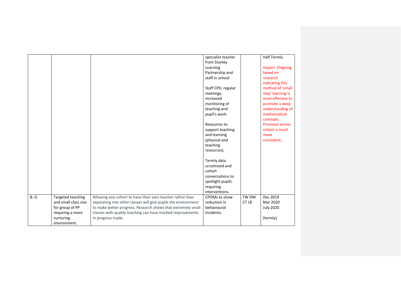|              |                      |                                                                | specialist teacher<br>from Stanley |       | <b>Half Termly</b>                     |
|--------------|----------------------|----------------------------------------------------------------|------------------------------------|-------|----------------------------------------|
|              |                      |                                                                | Learning                           |       | Impact -Ongoing                        |
|              |                      |                                                                | Partnership and                    |       | based on                               |
|              |                      |                                                                | staff in school.                   |       | research                               |
|              |                      |                                                                |                                    |       | indicating this<br>method of 'small    |
|              |                      |                                                                | Staff CPD, regular                 |       |                                        |
|              |                      |                                                                | meetings,<br>increased             |       | step' learning is<br>most effective to |
|              |                      |                                                                |                                    |       |                                        |
|              |                      |                                                                | monitoring of                      |       | promote a deep                         |
|              |                      |                                                                | teaching and                       |       | understanding of<br>mathematical       |
|              |                      |                                                                | pupil's work.                      |       | concepts.                              |
|              |                      |                                                                | Resources to                       |       | <b>Provision across</b>                |
|              |                      |                                                                | support teaching                   |       | school is much                         |
|              |                      |                                                                | and learning                       |       | more                                   |
|              |                      |                                                                | (physical and                      |       | consistent.                            |
|              |                      |                                                                | teaching                           |       |                                        |
|              |                      |                                                                | resources).                        |       |                                        |
|              |                      |                                                                |                                    |       |                                        |
|              |                      |                                                                | Termly data                        |       |                                        |
|              |                      |                                                                | scrutinised and                    |       |                                        |
|              |                      |                                                                | cohort                             |       |                                        |
|              |                      |                                                                | conversations to                   |       |                                        |
|              |                      |                                                                | spotlight pupils                   |       |                                        |
|              |                      |                                                                | requiring                          |       |                                        |
|              |                      |                                                                | interventions.                     |       |                                        |
| <b>B. G.</b> | Targeted teaching    | Allowing one cohort to have their own teacher rather than      | CPOMs to show                      | TW DW | Dec 2019                               |
|              | and small class size | separating into other classes will give pupils the environment | reduction in                       | CT LB | Mar 2020                               |
|              | for group of PP      | to make better progress. Research shows that extremely small   | behavioural                        |       | <b>July 2020</b>                       |
|              | requiring a more     | classes with quality teaching can have marked improvements     | incidents.                         |       |                                        |
|              | nurturing            | in progress made.                                              |                                    |       | (termly)                               |
|              | environment.         |                                                                |                                    |       |                                        |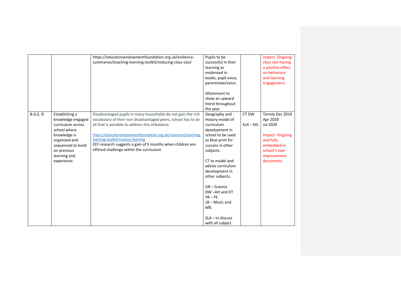|          |                                                                                                                                                                               | https://educationendowmentfoundation.org.uk/evidence-<br>summaries/teaching-learning-toolkit/reducing-class-size/                                                                                                                                                                                                                                                                                 | Pupils to be<br>successful in their<br>learning as<br>evidenced in<br>books, pupil voice,<br>parentview/voice.<br>Attainment to<br>show an upward<br>trend throughout<br>the year.                                                                                                                                                         |                     | <b>Impact-Ongoing</b><br>class size having<br>a positive effect<br>on behaviour<br>and learning<br>engagement.                            |
|----------|-------------------------------------------------------------------------------------------------------------------------------------------------------------------------------|---------------------------------------------------------------------------------------------------------------------------------------------------------------------------------------------------------------------------------------------------------------------------------------------------------------------------------------------------------------------------------------------------|--------------------------------------------------------------------------------------------------------------------------------------------------------------------------------------------------------------------------------------------------------------------------------------------------------------------------------------------|---------------------|-------------------------------------------------------------------------------------------------------------------------------------------|
| B.G.E, D | Establishing a<br>knowledge engaged<br>curriculum across<br>school where<br>knowledge is<br>organised and<br>sequenced to build<br>on previous<br>learning and<br>experience. | Disadvantaged pupils in many households do not gain the rich<br>vocabulary of their non disadvantaged peers, school has to do<br>all that is possible to address this imbalance.<br>https://educationendowmentfoundation.org.uk/resources/teaching-<br>learning-toolkit/mastery-learning<br>EEF research suggests a gain of 5 months when children are<br>offered challenge within the curriculum | Geography and<br>History model of<br>curriculum<br>development in<br>school to be used<br>as blue print for<br>success in other<br>subjects.<br>CT to model and<br>advise curriculum<br>development in<br>other subjects.<br>GR-Science<br>DW-Art and DT<br>$YR - PE$<br>$LB - Music$ and<br>MfL<br>$SLA - to$ discuss<br>with all subject | CT DW<br>$SLA - DG$ | Termly Dec 2019<br>Apr 2020<br>Jul 2020<br><b>Impact-Ongoing</b><br>and fully<br>embedded in<br>school's own<br>improvement<br>documents. |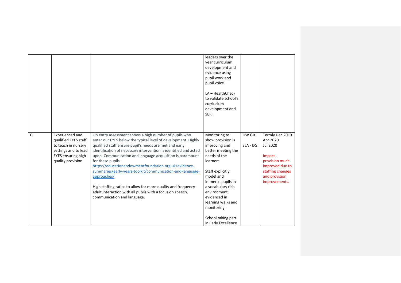|                |                                                                                                                                    |                                                                                                                                                                                                                                                                                                                                                                                                                                                                                                                                                                                                                                         | leaders over the<br>year curriculum<br>development and<br>evidence using<br>pupil work and<br>pupil voice.<br>$LA$ – HealthCheck<br>to validate school's<br>curriuclum<br>development and<br>SEF.                                                                                                  |                   |                                                                                                                                                |
|----------------|------------------------------------------------------------------------------------------------------------------------------------|-----------------------------------------------------------------------------------------------------------------------------------------------------------------------------------------------------------------------------------------------------------------------------------------------------------------------------------------------------------------------------------------------------------------------------------------------------------------------------------------------------------------------------------------------------------------------------------------------------------------------------------------|----------------------------------------------------------------------------------------------------------------------------------------------------------------------------------------------------------------------------------------------------------------------------------------------------|-------------------|------------------------------------------------------------------------------------------------------------------------------------------------|
| $\overline{C}$ | Experienced and<br>qualified EYFS staff<br>to teach in nursery<br>settings and to lead<br>EYFS ensuring high<br>quality provision. | On entry assessment shows a high number of pupils who<br>enter our EYFS below the typical level of development. Highly<br>qualified staff ensure pupil's needs are met and early<br>identification of necessary intervention is identified and acted<br>upon. Communication and language acquisition is paramount<br>for these pupils.<br>https://educationendowmentfoundation.org.uk/evidence-<br>summaries/early-years-toolkit/communication-and-language-<br>approaches/<br>High staffing ratios to allow for more quality and frequency<br>adult interaction with all pupils with a focus on speech,<br>communication and language. | Monitoring to<br>show provision is<br>improving and<br>better meeting the<br>needs of the<br>learners.<br>Staff explicitly<br>model and<br>immerse pupils in<br>a vocabulary rich<br>environment<br>evidenced in<br>learning walks and<br>monitoring.<br>School taking part<br>in Early Excellence | DW GR<br>SLA - DG | Termly Dec 2019<br>Apr 2020<br>Jul 2020<br>Impact -<br>provision much<br>improved due to<br>staffing changes<br>and provision<br>improvements. |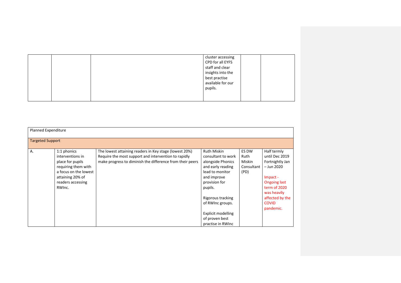|  | cluster accessing |  |
|--|-------------------|--|
|  | CPD for all EYFS  |  |
|  | staff and clear   |  |
|  | insights into the |  |
|  | best practise     |  |
|  | available for our |  |
|  | pupils.           |  |
|  |                   |  |
|  |                   |  |

|    | <b>Planned Expenditure</b> |                                                           |                    |            |                     |  |  |  |
|----|----------------------------|-----------------------------------------------------------|--------------------|------------|---------------------|--|--|--|
|    | <b>Targeted Support</b>    |                                                           |                    |            |                     |  |  |  |
| Α. | 1:1 phonics                | The lowest attaining readers in Key stage (lowest 20%)    | <b>Ruth Miskin</b> | ES DW      | Half termly         |  |  |  |
|    | interventions in           | Require the most support and intervention to rapidly      | consultant to work | Ruth       | until Dec 2019      |  |  |  |
|    | place for pupils           | make progress to diminish the difference from their peers | alongside Phonics  | Miskin     | Fortnightly Jan     |  |  |  |
|    | requiring them with        |                                                           | and early reading  | Consultant | - Jun 2020          |  |  |  |
|    | a focus on the lowest      |                                                           | lead to monitor    | (PD)       |                     |  |  |  |
|    | attaining 20% of           |                                                           | and improve        |            | Impact -            |  |  |  |
|    | readers accessing          |                                                           | provision for      |            | <b>Ongoing last</b> |  |  |  |
|    | RWInc.                     |                                                           | pupils.            |            | term of 2020        |  |  |  |
|    |                            |                                                           |                    |            | was heavily         |  |  |  |
|    |                            |                                                           | Rigorous tracking  |            | affected by the     |  |  |  |
|    |                            |                                                           | of RWInc groups.   |            | <b>COVID</b>        |  |  |  |
|    |                            |                                                           |                    |            | pandemic.           |  |  |  |
|    |                            |                                                           | Explicit modelling |            |                     |  |  |  |
|    |                            |                                                           | of proven best     |            |                     |  |  |  |
|    |                            |                                                           | practise in RWInc  |            |                     |  |  |  |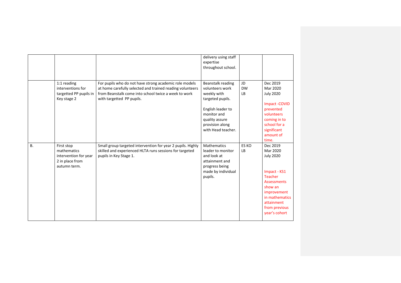|           |                                                                                       |                                                                                                                                                                                                          | delivery using staff<br>expertise<br>throughout school.                                                                                                                |                       |                                                                                                                                                                                              |
|-----------|---------------------------------------------------------------------------------------|----------------------------------------------------------------------------------------------------------------------------------------------------------------------------------------------------------|------------------------------------------------------------------------------------------------------------------------------------------------------------------------|-----------------------|----------------------------------------------------------------------------------------------------------------------------------------------------------------------------------------------|
|           | 1:1 reading<br>interventions for<br>targetted PP pupils in<br>Key stage 2             | For pupils who do not have strong academic role models<br>at home carefully selected and trained reading volunteers<br>from Beanstalk come into school twice a week to work<br>with targetted PP pupils. | Beanstalk reading<br>volunteers work<br>weekly with<br>targeted pupils.<br>English leader to<br>monitor and<br>quality assure<br>provision along<br>with Head teacher. | JD<br><b>DW</b><br>LB | Dec 2019<br>Mar 2020<br><b>July 2020</b><br>Impact -COVID<br>prevented<br>volunteers<br>coming in to<br>school for a<br>significant<br>amount of<br>time.                                    |
| <b>B.</b> | First stop<br>mathematics<br>intervention for year<br>2 in place from<br>autumn term. | Small group targeted intervention for year 2 pupils. Highly<br>skilled and experienced HLTA runs sessions for targeted<br>pupils in Key Stage 1.                                                         | <b>Mathematics</b><br>leader to monitor<br>and look at<br>attainment and<br>progress being<br>made by individual<br>pupils.                                            | ES KO<br>LB           | Dec 2019<br>Mar 2020<br><b>July 2020</b><br>Impact - KS1<br><b>Teacher</b><br><b>Assessments</b><br>show an<br>improvement<br>in mathematics<br>attainment<br>from previous<br>year's cohort |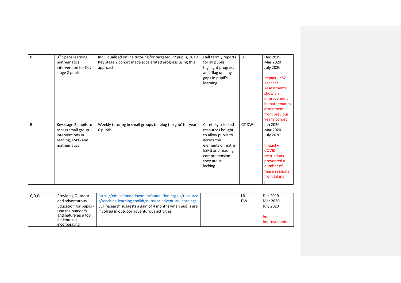| <b>B.</b> | 3 <sup>rd</sup> Space learning | Individualised online tutoring for targeted PP pupils, 2019 | Half termly reports     | LB    | Dec 2019           |
|-----------|--------------------------------|-------------------------------------------------------------|-------------------------|-------|--------------------|
|           | mathematics                    | Key stage 2 cohort made accelerated progress using this     | for all pupils          |       | Mar 2020           |
|           | intervention for Key           | approach.                                                   | highlight progress      |       | <b>July 2020</b>   |
|           | stage 2 pupils                 |                                                             | and 'flag up 'any       |       |                    |
|           |                                |                                                             | gaps in pupil's         |       | Impact - KS2       |
|           |                                |                                                             | learning.               |       | Teacher            |
|           |                                |                                                             |                         |       | <b>Assessments</b> |
|           |                                |                                                             |                         |       | show an            |
|           |                                |                                                             |                         |       | improvement        |
|           |                                |                                                             |                         |       | in mathematics     |
|           |                                |                                                             |                         |       | attainment         |
|           |                                |                                                             |                         |       | from previous      |
|           |                                |                                                             |                         |       | year's cohort      |
| <b>B.</b> | Key stage 2 pupils to          | Weekly tutoring in small groups to 'plug the gap' for year  | Carefully selected      | CT DW | Jan 2020           |
|           | access small group             | 6 pupils.                                                   | resources bought        |       | Mar 2020           |
|           | interventions in               |                                                             | to allow pupils to      |       | <b>July 2020</b>   |
|           | reading, ESPG and              |                                                             | access the              |       |                    |
|           | mathematics                    |                                                             | elements of maths,      |       | $Im$ pact $-$      |
|           |                                |                                                             | <b>ESPG</b> and reading |       | <b>COVID</b>       |
|           |                                |                                                             | comprehension           |       | restrictions       |
|           |                                |                                                             | they are still          |       | prevented a        |
|           |                                |                                                             | lacking.                |       | number of          |
|           |                                |                                                             |                         |       | these sessions     |
|           |                                |                                                             |                         |       | from taking        |
|           |                                |                                                             |                         |       | place.             |

| C, D, G | <b>Providing Outdoor</b> | https://educationendowmentfoundation.org.uk/resource     | LB        | Dec 2019         |
|---------|--------------------------|----------------------------------------------------------|-----------|------------------|
|         | and adventurous          | s/teaching-learning-toolkit/outdoor-adventure-learning/  | <b>DW</b> | Mar 2020         |
|         | Education for pupils -   | EEF research suggests a gain of 4 months when pupils are |           | <b>July 2020</b> |
|         | Use the outdoors         | involved in outdoor adventurous activities.              |           |                  |
|         | and nature as a tool     |                                                          |           | $Im$ pact $-$    |
|         | for learning,            |                                                          |           | Improvements     |
|         | incorporating            |                                                          |           |                  |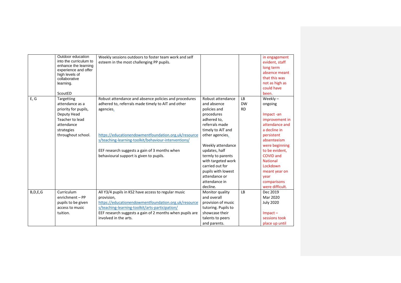|            | Outdoor education<br>into the curriculum to<br>enhance the learning<br>experience and offer<br>high levels of<br>collaborative<br>learning.<br>ScoutED | Weekly sessions outdoors to foster team work and self<br>esteem in the most challenging PP pupils.                                                                                                                                                                                                                                   |                                                                                                                                                                                                                                                                                                                 |                                     | in engagement<br>evident, staff<br>long term<br>absence meant<br>that this was<br>not as high as<br>could have<br>been.                                                                                                                                               |
|------------|--------------------------------------------------------------------------------------------------------------------------------------------------------|--------------------------------------------------------------------------------------------------------------------------------------------------------------------------------------------------------------------------------------------------------------------------------------------------------------------------------------|-----------------------------------------------------------------------------------------------------------------------------------------------------------------------------------------------------------------------------------------------------------------------------------------------------------------|-------------------------------------|-----------------------------------------------------------------------------------------------------------------------------------------------------------------------------------------------------------------------------------------------------------------------|
| E, G       | Targetting<br>attendance as a<br>priority for pupils,<br>Deputy Head<br>Teacher to lead<br>attendance<br>strategies<br>throughout school.              | Robust attendance and absence policies and procedures<br>adhered to, referrals made timely to AIT and other<br>agencies.<br>https://educationendowmentfoundation.org.uk/resource<br>s/teaching-learning-toolkit/behaviour-interventions/<br>EEF research suggests a gain of 3 months when<br>behavioural support is given to pupils. | Robust attendance<br>and absence<br>policies and<br>procedures<br>adhered to.<br>referrals made<br>timely to AIT and<br>other agencies.<br>Weekly attendance<br>updates, half<br>termly to parents<br>with targeted work<br>carried out for<br>pupils with lowest<br>attendance or<br>attendance in<br>decline. | <b>LB</b><br><b>DW</b><br><b>RD</b> | Weekly $-$<br>ongoing<br>Impact-an<br>improvement in<br>attendance and<br>a decline in<br>persistent<br>absenteeism<br>were beginning<br>to be evident.<br><b>COVID and</b><br><b>National</b><br>Lockdown<br>meant year on<br>year<br>comparisons<br>were difficult. |
| B, D, E, G | Curriculum<br>enrichment - PP<br>pupils to be given<br>access to music<br>tuition.                                                                     | All Y3/4 pupils in KS2 have access to regular music<br>provision,<br>https://educationendowmentfoundation.org.uk/resource<br>s/teaching-learning-toolkit/arts-participation/<br>EEF research suggests a gain of 2 months when pupils are<br>involved in the arts.                                                                    | Monitor quality<br>and overall<br>provision of music<br>tutoring. Pupils to<br>showcase their<br>talents to peers<br>and parents.                                                                                                                                                                               | LB                                  | Dec 2019<br>Mar 2020<br><b>July 2020</b><br>$Im$ pact $-$<br>sessions took<br>place up until                                                                                                                                                                          |